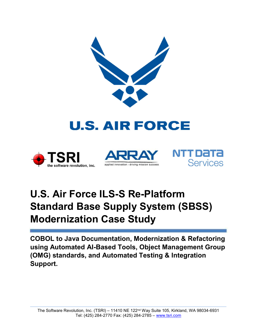

# **U.S. AIR FORCE**







## U.S. Air Force ILS-S Re-Platform Standard Base Supply System (SBSS) Modernization Case Study

COBOL to Java Documentation, Modernization & Refactoring using Automated AI-Based Tools, Object Management Group (OMG) standards, and Automated Testing & Integration Support.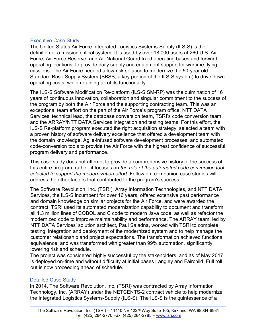#### Executive Case Study

The United States Air Force Integrated Logistics Systems-Supply (ILS-S) is the definition of a mission critical system. It is used by over 18,000 users at 260 U.S. Air Force, Air Force Reserve, and Air National Guard fixed operating bases and forward operating locations, to provide daily supply and equipment support for wartime flying missions. The Air Force needed a low-risk solution to modernize the 50-year old Standard Base Supply System (SBSS, a key portion of the ILS-S system) to drive down operating costs, while retaining all of its functionality.

The ILS-S Software Modification Re-platform (ILS-S SM-RP) was the culmination of 16 years of continuous innovation, collaboration and singular commitment to the success of the program by both the Air Force and the supporting contracting team. This was an exceptional team effort on the part of the Air Force's program office, NTT DATA Services' technical lead, the database conversion team, TSRI's code conversion team, and the ARRAY/NTT DATA Services integration and testing teams. For this effort, the ILS-S Re-platform program executed the right acquisition strategy, selected a team with a proven history of software delivery excellence that offered a development team with the domain knowledge, Agile-infused software development processes, and automated code-conversion tools to provide the Air Force with the highest confidence of successful program delivery and performance.

This case study does not attempt to provide a comprehensive history of the success of this entire program; rather, it focuses on the role of the automated code conversion tool selected to support the modernization effort. Follow on, companion case studies will address the other factors that contributed to the program's success.

The Software Revolution, Inc. (TSRI), Array Information Technologies, and NTT DATA Services, the ILS-S incumbent for over 16 years, offered extensive past performance and domain knowledge on similar projects for the Air Force, and were awarded the contract. TSRI used its automated modernization capability to document and transform all 1.3 million lines of COBOL and C code to modern Java code, as well as refactor the modernized code to improve maintainability and performance. The ARRAY team, led by NTT DATA Services' solution architect, Paul Saladna, worked with TSRI to complete testing, integration and deployment of the modernized system and to help manage the customer relationship and project expectations. The transformation achieved functional equivalence, and was transformed with greater than 99% automation, significantly lowering risk and schedule.

The project was considered highly successful by the stakeholders, and as of May 2017 is deployed on-time and without difficulty at initial bases Langley and Fairchild. Full roll out is now proceeding ahead of schedule.

#### Detailed Case Study

In 2014, The Software Revolution, Inc. (TSRI) was contracted by Array Information Technology, Inc. (ARRAY) under the NETCENTS-2 contract vehicle to help modernize the Integrated Logistics Systems-Supply (ILS-S). The ILS-S is the quintessence of a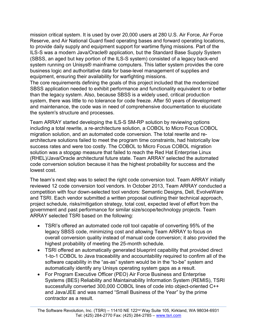mission critical system. It is used by over 20,000 users at 280 U.S. Air Force, Air Force Reserve, and Air National Guard fixed operating bases and forward operating locations, to provide daily supply and equipment support for wartime flying missions. Part of the ILS-S was a modern Java/Oracle® application, but the Standard Base Supply System (SBSS, an aged but key portion of the ILS-S system) consisted of a legacy back-end system running on Unisys® mainframe computers. This latter system provides the core business logic and authoritative data for base-level management of supplies and equipment, ensuring their availability for warfighting missions.

The core requirements defining the goals of this project included that the modernized SBSS application needed to exhibit performance and functionality equivalent to or better than the legacy system. Also, because SBSS is a widely used, critical production system, there was little to no tolerance for code freeze. After 50 years of development and maintenance, the code was in need of comprehensive documentation to elucidate the system's structure and processes.

Team ARRAY started developing the ILS-S SM-RP solution by reviewing options including a total rewrite, a re-architecture solution, a COBOL to Micro Focus COBOL migration solution, and an automated code conversion. The total rewrite and rearchitecture solutions failed to meet the program time constraints, had historically low success rates and were too costly. The COBOL to Micro Focus COBOL migration solution was a stopgap measure that failed to reach the Red Hat Enterprise Linux (RHEL)/Java/Oracle architectural future state. Team ARRAY selected the automated code conversion solution because it has the highest probability for success and the lowest cost.

The team's next step was to select the right code conversion tool. Team ARRAY initially reviewed 12 code conversion tool vendors. In October 2013, Team ARRAY conducted a competition with four down-selected tool vendors: Semantic Designs, Dell, EvolveWare and TSRI. Each vendor submitted a written proposal outlining their technical approach, project schedule, risks/mitigation strategy, total cost, expected level of effort from the government and past performance for similar size/scope/technology projects. Team ARRAY selected TSRI based on the following:

- TSRI's offered an automated code roll tool capable of converting 95% of the legacy SBSS code, minimizing cost and allowing Team ARRAY to focus on overall conversion quality instead of manual code conversion; it also provided the highest probability of meeting the 25-month schedule.
- TSRI offered an automatically generated blueprint capability that provided direct 1-to-1 COBOL to Java traceability and accountability required to confirm all of the software capability in the "as-as" system would be in the "to-be" system and automatically identify any Unisys operating system gaps as a result.
- For Program Executive Officer (PEO) Air Force Business and Enterprise Systems (BES) Reliability and Maintainability Information System (REMIS), TSRI successfully converted 300,000 COBOL lines of code into object-oriented C++ and Java/JEE and was named "Small Business of the Year" by the prime contractor as a result.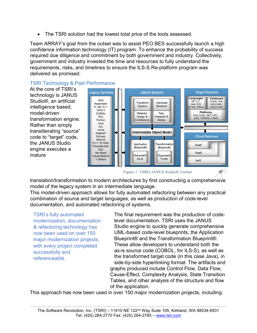The TSRI solution had the lowest total price of the tools assessed.

Team ARRAY's goal from the outset was to assist PEO BES successfully launch a high confidence information technology (IT) program. To enhance the probability of success required due diligence and commitment by both government and industry. Collectively, government and industry invested the time and resources to fully understand the requirements, risks, and timelines to ensure the ILS-S Re-platform program was delivered as promised.



#### TSRI Technology & Past Performance

Figure 1: TSRI's JANUS Studio® Toolset

translation/transformation to modern architectures by first constructing a comprehensive model of the legacy system in an intermediate language.

This model-driven approach allows for fully automated refactoring between any practical combination of source and target languages, as well as production of code-level documentation, and automated refactoring of systems.

TSRI's fully automated modernization, documentation & refactoring technology has now been used on over 150 major modernization projects, with every project completed successfully and referenceable.

The final requirement was the production of codelevel documentation. TSRI uses the JANUS Studio engine to quickly generate comprehensive UML-based code-level blueprints, the Application Blueprint® and the Transformation Blueprint®. These allow developers to understand both the as-is source code (COBOL, for ILS-S), as well as the transformed target code (in this case Java), in side-by-side hyperlinking format. The artifacts and graphs produced include Control Flow, Data Flow, Cause-Effect, Complexity Analysis, State Transition Tables, and other analysis of the structure and flow of the application.

This approach has now been used in over 150 major modernization projects, including: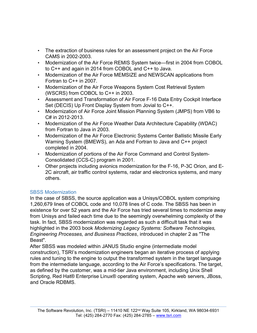- The extraction of business rules for an assessment project on the Air Force CAMS in 2002-2003.
- Modernization of the Air Force REMIS System twice—first in 2004 from COBOL to C++ and again in 2014 from COBOL and C++ to Java.
- Modernization of the Air Force MEMSIZE and NEWSCAN applications from Fortran to C++ in 2007.
- Modernization of the Air Force Weapons System Cost Retrieval System (WSCRS) from COBOL to C++ in 2003.
- Assessment and Transformation of Air Force F-16 Data Entry Cockpit Interface Set (DECIS) Up Front Display System from Jovial to C++.
- Modernization of Air Force Joint Mission Planning System (JMPS) from VB6 to C# in 2012-2013.
- Modernization of the Air Force Weather Data Architecture Capability (WDAC) from Fortran to Java in 2003.
- Modernization of the Air Force Electronic Systems Center Ballistic Missile Early Warning System (BMEWS), an Ada and Fortran to Java and C++ project completed in 2004.
- Modernization of portions of the Air Force Command and Control System-Consolidated (CCS-C) program in 2001.
- Other projects including avionics modernization for the F-16, P-3C Orion, and E-2C aircraft, air traffic control systems, radar and electronics systems, and many others.

#### SBSS Modernization

In the case of SBSS, the source application was a Unisys/COBOL system comprising 1,260,679 lines of COBOL code and 10,078 lines of C code. The SBSS has been in existence for over 52 years and the Air Force has tried several times to modernize away from Unisys and failed each time due to the seemingly overwhelming complexity of the task. In fact, SBSS modernization was regarded as such a difficult task that it was highlighted in the 2003 book Modernizing Legacy Systems: Software Technologies, Engineering Processes, and Business Practices, introduced in chapter 2 as "The Beast".

After SBSS was modeled within JANUS Studio engine (intermediate model construction), TSRI's modernization engineers began an iterative process of applying rules and tuning to the engine to output the transformed system in the target language from the intermediate language, according to the Air Force's specifications. The target, as defined by the customer, was a mid-tier Java environment, including Unix Shell Scripting, Red Hat® Enterprise Linux® operating system, Apache web servers, JBoss, and Oracle RDBMS.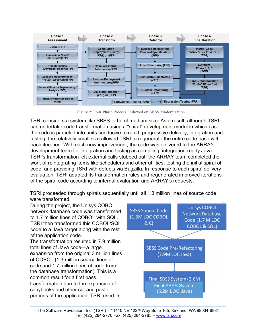

Figure 2: Four-Phase Process Followed on SBSS Modernization

TSRI considers a system like SBSS to be of medium size. As a result, although TSRI can undertake code transformation using a "spiral" development model in which case the code is parceled into units conducive to rapid, progressive delivery, integration and testing, the relatively small size allowed TSRI to regenerate the entire code base with each iteration. With each new improvement, the code was delivered to the ARRAY development team for integration and testing as compiling, integration-ready Java. TSRI's transformation left external calls stubbed out; the ARRAY team completed the work of reintegrating items like schedulers and other utilities, testing the initial spiral of code, and providing TSRI with defects via Bugzilla. In response to each spiral delivery evaluation, TSRI adapted its transformation rules and regenerated improved iterations of the spiral code according to internal evaluation and ARRAY's requests.

TSRI proceeded through spirals sequentially until all 1.3 million lines of source code were transformed.

During the project, the Unisys COBOL network database code was transformed to 1.7 million lines of COBOL with SQL. TSRI then transformed this COBOL/SQL code to a Java target along with the rest of the application code.

The transformation resulted in 7.9 million total lines of Java code—a large expansion from the original 3 million lines of COBOL (1.3 million source lines of code and 1.7 million lines of code from the database transformation). This is a common result for a first pass transformation due to the expansion of copybooks and other cut and paste portions of the application. TSRI used its

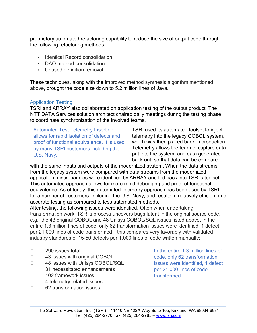proprietary automated refactoring capability to reduce the size of output code through the following refactoring methods:

- Identical Record consolidation
- DAO method consolidation
- Unused definition removal

These techniques, along with the improved method synthesis algorithm mentioned above, brought the code size down to 5.2 million lines of Java.

#### Application Testing

TSRI and ARRAY also collaborated on application testing of the output product. The NTT DATA Services solution architect chaired daily meetings during the testing phase to coordinate synchronization of the involved teams.

Automated Test Telemetry Insertion allows for rapid isolation of defects and proof of functional equivalence. It is used by many TSRI customers including the U.S. Navy.

TSRI used its automated toolset to inject telemetry into the legacy COBOL system, which was then placed back in production. Telemetry allows the team to capture data put into the system, and data generated back out, so that data can be compared

with the same inputs and outputs of the modernized system. When the data streams from the legacy system were compared with data streams from the modernized application, discrepancies were identified by ARRAY and fed back into TSRI's toolset. This automated approach allows for more rapid debugging and proof of functional equivalence. As of today, this automated telemetry approach has been used by TSRI for a number of customers, including the U.S. Navy, and results in relatively efficient and accurate testing as compared to less automated methods.

After testing, the following issues were identified. Often when undertaking transformation work, TSRI's process uncovers bugs latent in the original source code, e.g., the 43 original COBOL and 48 Unisys COBOL/SQL issues listed above. In the entire 1.3 million lines of code, only 62 transformation issues were identified, 1 defect per 21,000 lines of code transformed—this compares very favorably with validated industry standards of 15-50 defects per 1,000 lines of code written manually:

- $\Box$  290 issues total
- □ 43 issues with original COBOL
- □ 48 issues with Unisys COBOL/SQL
- □ 31 necessitated enhancements
- □ 102 framework issues
- □ 4 telemetry related issues
- □ 62 transformation issues

In the entire 1.3 million lines of code, only 62 transformation issues were identified, 1 defect per 21,000 lines of code transformed.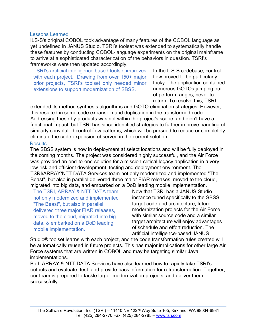#### Lessons Learned

ILS-S's original COBOL took advantage of many features of the COBOL language as yet undefined in JANUS Studio. TSRI's toolset was extended to systematically handle these features by conducting COBOL-language experiments on the original mainframe to arrive at a sophisticated characterization of the behaviors in question. TSRI's frameworks were then updated accordingly.

TSRI's artificial intelligence based toolset improves with each project. Drawing from over 150+ major prior projects, TSRI's toolset only needed minor extensions to support modernization of SBSS.

In the ILS-S codebase, control flow proved to be particularly tricky. The application contained numerous GOTOs jumping out of perform ranges, never to return. To resolve this, TSRI

extended its method synthesis algorithms and GOTO elimination strategies. However, this resulted in some code expansion and duplication in the transformed code. Addressing these by-products was not within the project's scope, and didn't have a functional impact, but TSRI has since identified strategies to further improve handling of similarly convoluted control flow patterns, which will be pursued to reduce or completely eliminate the code expansion observed in the current solution.

#### **Results**

The SBSS system is now in deployment at select locations and will be fully deployed in the coming months. The project was considered highly successful, and the Air Force was provided an end-to-end solution for a mission-critical legacy application in a very low-risk and efficient development, testing and deployment environment. The TSRI/ARRAY/NTT DATA Services team not only modernized and implemented "The Beast", but also in parallel delivered three major FIAR releases, moved to the cloud, migrated into big data, and embarked on a DoD leading mobile implementation.

The TSRI, ARRAY & NTT DATA team not only modernized and implemented "The Beast", but also in parallel, delivered three major FIAR releases, moved to the cloud, migrated into big data, & embarked on a DoD leading mobile implementation.

Now that TSRI has a JANUS Studio instance tuned specifically to the SBSS target code and architecture, future modernization projects for the Air Force with similar source code and a similar target architecture will enjoy advantages of schedule and effort reduction. The artificial intelligence-based JANUS

Studio® toolset learns with each project, and the code transformation rules created will be automatically reused in future projects. This has major implications for other large Air Force systems that are written in COBOL and may be targeting similar Java implementations.

Both ARRAY & NTT DATA Services have also learned how to rapidly take TSRI's outputs and evaluate, test, and provide back information for retransformation. Together, our team is prepared to tackle larger modernization projects, and deliver them successfully.